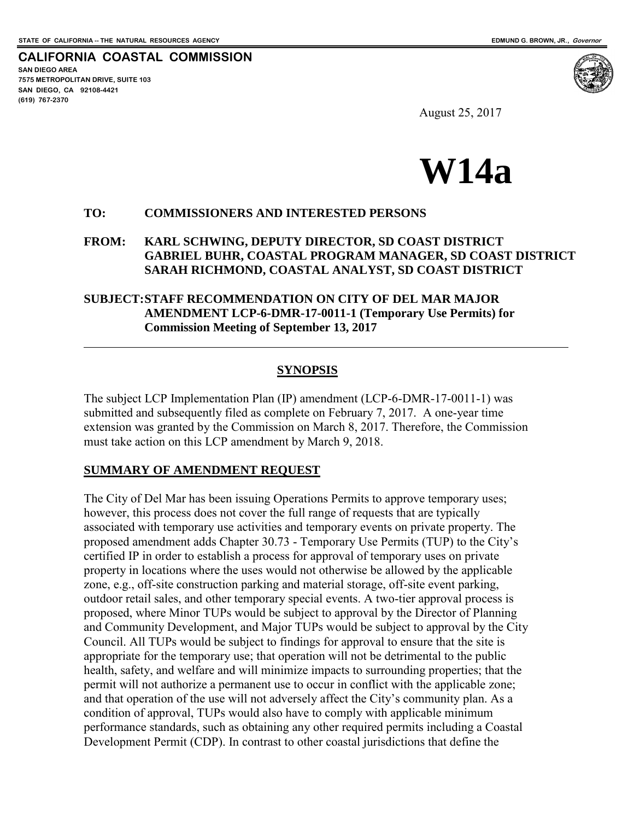**CALIFORNIA COASTAL COMMISSION SAN DIEGO AREA 7575 METROPOLITAN DRIVE, SUITE 103 SAN DIEGO, CA 92108-4421 (619) 767-2370**

 $\overline{a}$ 

August 25, 2017



#### **TO: COMMISSIONERS AND INTERESTED PERSONS**

#### **FROM: KARL SCHWING, DEPUTY DIRECTOR, SD COAST DISTRICT GABRIEL BUHR, COASTAL PROGRAM MANAGER, SD COAST DISTRICT SARAH RICHMOND, COASTAL ANALYST, SD COAST DISTRICT**

#### **SUBJECT: STAFF RECOMMENDATION ON CITY OF DEL MAR MAJOR AMENDMENT LCP-6-DMR-17-0011-1 (Temporary Use Permits) for Commission Meeting of September 13, 2017**

#### **SYNOPSIS**

The subject LCP Implementation Plan (IP) amendment (LCP-6-DMR-17-0011-1) was submitted and subsequently filed as complete on February 7, 2017. A one-year time extension was granted by the Commission on March 8, 2017. Therefore, the Commission must take action on this LCP amendment by March 9, 2018.

#### **SUMMARY OF AMENDMENT REQUEST**

The City of Del Mar has been issuing Operations Permits to approve temporary uses; however, this process does not cover the full range of requests that are typically associated with temporary use activities and temporary events on private property. The proposed amendment adds Chapter 30.73 - Temporary Use Permits (TUP) to the City's certified IP in order to establish a process for approval of temporary uses on private property in locations where the uses would not otherwise be allowed by the applicable zone, e.g., off-site construction parking and material storage, off-site event parking, outdoor retail sales, and other temporary special events. A two-tier approval process is proposed, where Minor TUPs would be subject to approval by the Director of Planning and Community Development, and Major TUPs would be subject to approval by the City Council. All TUPs would be subject to findings for approval to ensure that the site is appropriate for the temporary use; that operation will not be detrimental to the public health, safety, and welfare and will minimize impacts to surrounding properties; that the permit will not authorize a permanent use to occur in conflict with the applicable zone; and that operation of the use will not adversely affect the City's community plan. As a condition of approval, TUPs would also have to comply with applicable minimum performance standards, such as obtaining any other required permits including a Coastal Development Permit (CDP). In contrast to other coastal jurisdictions that define the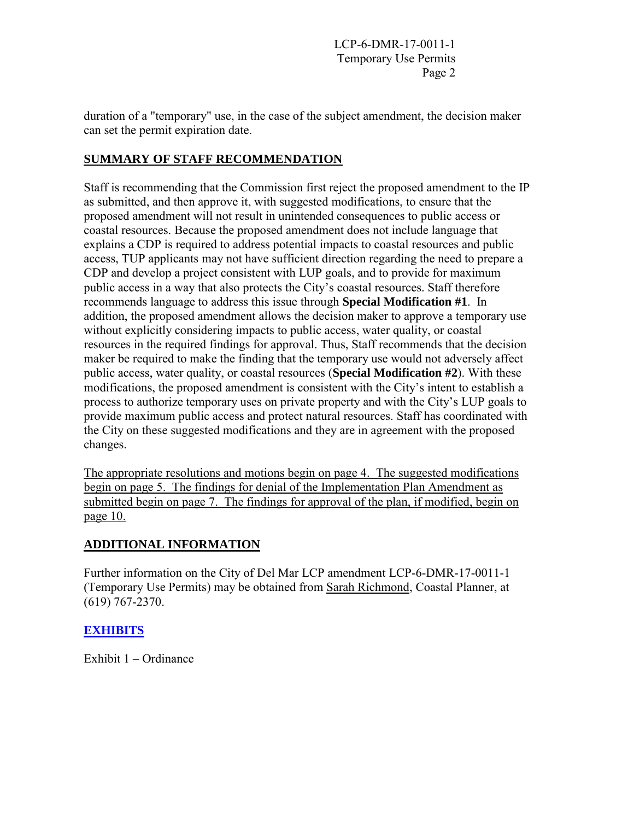duration of a "temporary" use, in the case of the subject amendment, the decision maker can set the permit expiration date.

## **SUMMARY OF STAFF RECOMMENDATION**

Staff is recommending that the Commission first reject the proposed amendment to the IP as submitted, and then approve it, with suggested modifications, to ensure that the proposed amendment will not result in unintended consequences to public access or coastal resources. Because the proposed amendment does not include language that explains a CDP is required to address potential impacts to coastal resources and public access, TUP applicants may not have sufficient direction regarding the need to prepare a CDP and develop a project consistent with LUP goals, and to provide for maximum public access in a way that also protects the City's coastal resources. Staff therefore recommends language to address this issue through **Special Modification #1**. In addition, the proposed amendment allows the decision maker to approve a temporary use without explicitly considering impacts to public access, water quality, or coastal resources in the required findings for approval. Thus, Staff recommends that the decision maker be required to make the finding that the temporary use would not adversely affect public access, water quality, or coastal resources (**Special Modification #2**). With these modifications, the proposed amendment is consistent with the City's intent to establish a process to authorize temporary uses on private property and with the City's LUP goals to provide maximum public access and protect natural resources. Staff has coordinated with the City on these suggested modifications and they are in agreement with the proposed changes.

The appropriate resolutions and motions begin on page 4. The suggested modifications begin on page 5. The findings for denial of the Implementation Plan Amendment as submitted begin on page 7. The findings for approval of the plan, if modified, begin on page 10.

# **ADDITIONAL INFORMATION**

Further information on the City of Del Mar LCP amendment LCP-6-DMR-17-0011-1 (Temporary Use Permits) may be obtained from Sarah Richmond, Coastal Planner, at (619) 767-2370.

### **[EXHIBITS](https://documents.coastal.ca.gov/reports/2017/9/w14a/w14a-9-2017-exhibits.pdf)**

Exhibit 1 – Ordinance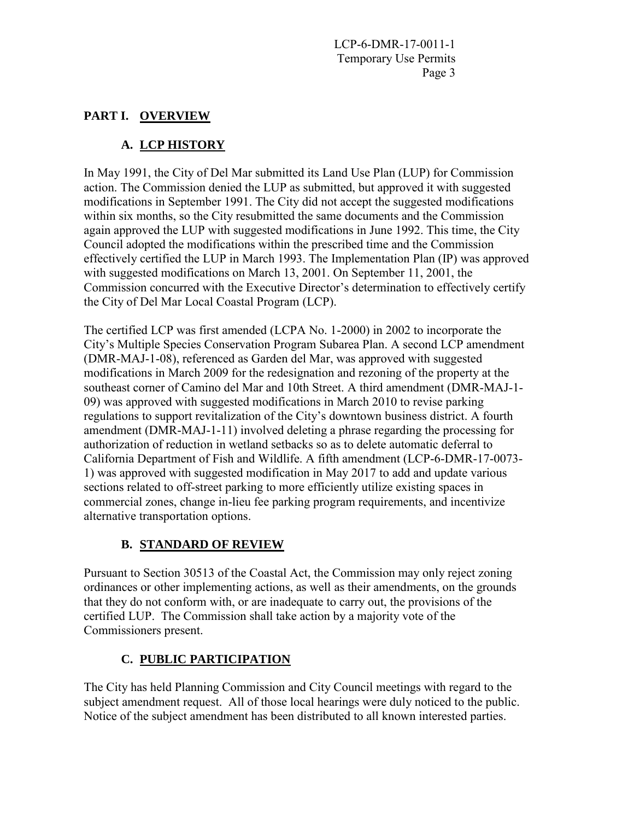## **PART I. OVERVIEW**

# **A. LCP HISTORY**

In May 1991, the City of Del Mar submitted its Land Use Plan (LUP) for Commission action. The Commission denied the LUP as submitted, but approved it with suggested modifications in September 1991. The City did not accept the suggested modifications within six months, so the City resubmitted the same documents and the Commission again approved the LUP with suggested modifications in June 1992. This time, the City Council adopted the modifications within the prescribed time and the Commission effectively certified the LUP in March 1993. The Implementation Plan (IP) was approved with suggested modifications on March 13, 2001. On September 11, 2001, the Commission concurred with the Executive Director's determination to effectively certify the City of Del Mar Local Coastal Program (LCP).

The certified LCP was first amended (LCPA No. 1-2000) in 2002 to incorporate the City's Multiple Species Conservation Program Subarea Plan. A second LCP amendment (DMR-MAJ-1-08), referenced as Garden del Mar, was approved with suggested modifications in March 2009 for the redesignation and rezoning of the property at the southeast corner of Camino del Mar and 10th Street. A third amendment (DMR-MAJ-1- 09) was approved with suggested modifications in March 2010 to revise parking regulations to support revitalization of the City's downtown business district. A fourth amendment (DMR-MAJ-1-11) involved deleting a phrase regarding the processing for authorization of reduction in wetland setbacks so as to delete automatic deferral to California Department of Fish and Wildlife. A fifth amendment (LCP-6-DMR-17-0073- 1) was approved with suggested modification in May 2017 to add and update various sections related to off-street parking to more efficiently utilize existing spaces in commercial zones, change in-lieu fee parking program requirements, and incentivize alternative transportation options.

### **B. STANDARD OF REVIEW**

Pursuant to Section 30513 of the Coastal Act, the Commission may only reject zoning ordinances or other implementing actions, as well as their amendments, on the grounds that they do not conform with, or are inadequate to carry out, the provisions of the certified LUP. The Commission shall take action by a majority vote of the Commissioners present.

# **C. PUBLIC PARTICIPATION**

The City has held Planning Commission and City Council meetings with regard to the subject amendment request. All of those local hearings were duly noticed to the public. Notice of the subject amendment has been distributed to all known interested parties.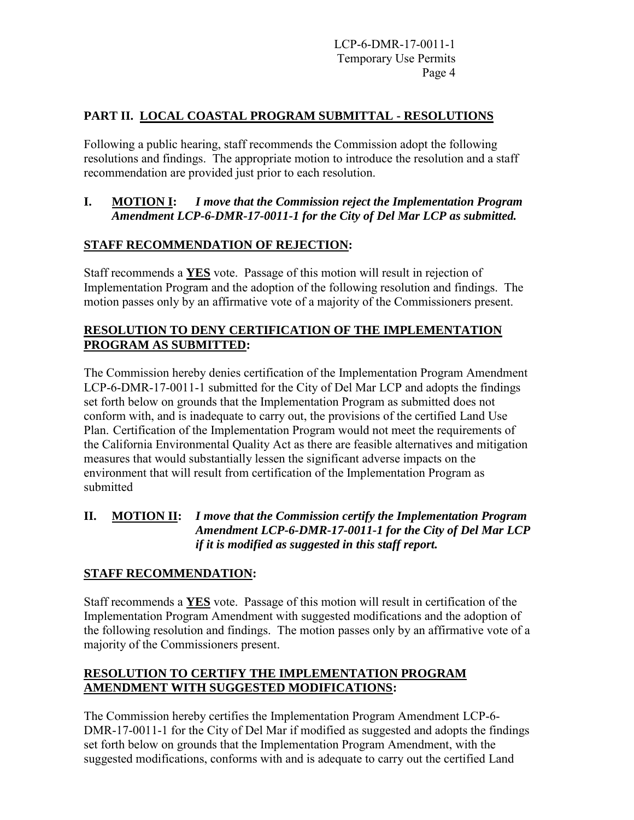## **PART II. LOCAL COASTAL PROGRAM SUBMITTAL - RESOLUTIONS**

Following a public hearing, staff recommends the Commission adopt the following resolutions and findings. The appropriate motion to introduce the resolution and a staff recommendation are provided just prior to each resolution.

### **I. MOTION I:** *I move that the Commission reject the Implementation Program Amendment LCP-6-DMR-17-0011-1 for the City of Del Mar LCP as submitted.*

## **STAFF RECOMMENDATION OF REJECTION:**

Staff recommends a **YES** vote. Passage of this motion will result in rejection of Implementation Program and the adoption of the following resolution and findings. The motion passes only by an affirmative vote of a majority of the Commissioners present.

## **RESOLUTION TO DENY CERTIFICATION OF THE IMPLEMENTATION PROGRAM AS SUBMITTED:**

The Commission hereby denies certification of the Implementation Program Amendment LCP-6-DMR-17-0011-1 submitted for the City of Del Mar LCP and adopts the findings set forth below on grounds that the Implementation Program as submitted does not conform with, and is inadequate to carry out, the provisions of the certified Land Use Plan. Certification of the Implementation Program would not meet the requirements of the California Environmental Quality Act as there are feasible alternatives and mitigation measures that would substantially lessen the significant adverse impacts on the environment that will result from certification of the Implementation Program as submitted

## **II. MOTION II:** *I move that the Commission certify the Implementation Program Amendment LCP-6-DMR-17-0011-1 for the City of Del Mar LCP if it is modified as suggested in this staff report.*

### **STAFF RECOMMENDATION:**

Staff recommends a **YES** vote. Passage of this motion will result in certification of the Implementation Program Amendment with suggested modifications and the adoption of the following resolution and findings. The motion passes only by an affirmative vote of a majority of the Commissioners present.

# **RESOLUTION TO CERTIFY THE IMPLEMENTATION PROGRAM AMENDMENT WITH SUGGESTED MODIFICATIONS:**

The Commission hereby certifies the Implementation Program Amendment LCP-6- DMR-17-0011-1 for the City of Del Mar if modified as suggested and adopts the findings set forth below on grounds that the Implementation Program Amendment, with the suggested modifications, conforms with and is adequate to carry out the certified Land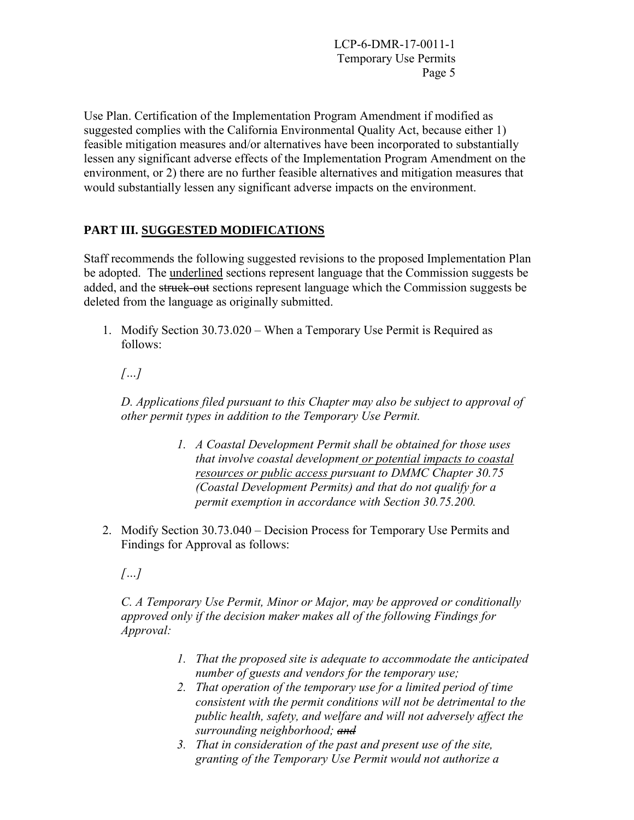Use Plan. Certification of the Implementation Program Amendment if modified as suggested complies with the California Environmental Quality Act, because either 1) feasible mitigation measures and/or alternatives have been incorporated to substantially lessen any significant adverse effects of the Implementation Program Amendment on the environment, or 2) there are no further feasible alternatives and mitigation measures that would substantially lessen any significant adverse impacts on the environment.

# **PART III. SUGGESTED MODIFICATIONS**

Staff recommends the following suggested revisions to the proposed Implementation Plan be adopted. The underlined sections represent language that the Commission suggests be added, and the struck-out sections represent language which the Commission suggests be deleted from the language as originally submitted.

1. Modify Section 30.73.020 – When a Temporary Use Permit is Required as follows:

# *[…]*

*D. Applications filed pursuant to this Chapter may also be subject to approval of other permit types in addition to the Temporary Use Permit.* 

- *1. A Coastal Development Permit shall be obtained for those uses that involve coastal development or potential impacts to coastal resources or public access pursuant to DMMC Chapter 30.75 (Coastal Development Permits) and that do not qualify for a permit exemption in accordance with Section 30.75.200.*
- 2. Modify Section 30.73.040 Decision Process for Temporary Use Permits and Findings for Approval as follows:

*[…]* 

*C. A Temporary Use Permit, Minor or Major, may be approved or conditionally approved only if the decision maker makes all of the following Findings for Approval:* 

- *1. That the proposed site is adequate to accommodate the anticipated number of guests and vendors for the temporary use;*
- *2. That operation of the temporary use for a limited period of time consistent with the permit conditions will not be detrimental to the public health, safety, and welfare and will not adversely affect the surrounding neighborhood; and*
- *3. That in consideration of the past and present use of the site, granting of the Temporary Use Permit would not authorize a*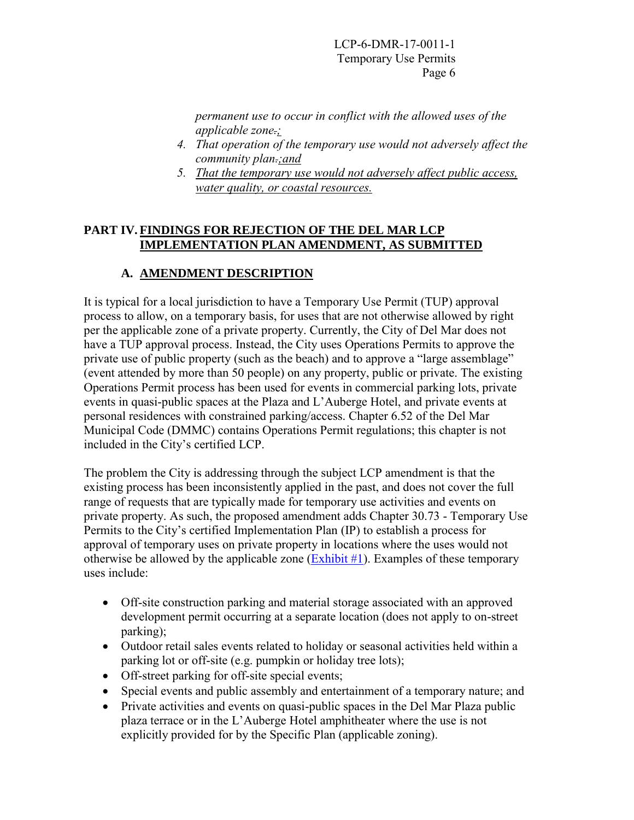*permanent use to occur in conflict with the allowed uses of the applicable zone.;* 

- *4. That operation of the temporary use would not adversely affect the community plan.;and*
- *5. That the temporary use would not adversely affect public access, water quality, or coastal resources.*

### **PART IV. FINDINGS FOR REJECTION OF THE DEL MAR LCP IMPLEMENTATION PLAN AMENDMENT, AS SUBMITTED**

# **A. AMENDMENT DESCRIPTION**

It is typical for a local jurisdiction to have a Temporary Use Permit (TUP) approval process to allow, on a temporary basis, for uses that are not otherwise allowed by right per the applicable zone of a private property. Currently, the City of Del Mar does not have a TUP approval process. Instead, the City uses Operations Permits to approve the private use of public property (such as the beach) and to approve a "large assemblage" (event attended by more than 50 people) on any property, public or private. The existing Operations Permit process has been used for events in commercial parking lots, private events in quasi-public spaces at the Plaza and L'Auberge Hotel, and private events at personal residences with constrained parking/access. Chapter 6.52 of the Del Mar Municipal Code (DMMC) contains Operations Permit regulations; this chapter is not included in the City's certified LCP.

The problem the City is addressing through the subject LCP amendment is that the existing process has been inconsistently applied in the past, and does not cover the full range of requests that are typically made for temporary use activities and events on private property. As such, the proposed amendment adds Chapter 30.73 - Temporary Use Permits to the City's certified Implementation Plan (IP) to establish a process for approval of temporary uses on private property in locations where the uses would not otherwise be allowed by the applicable zone  $(Exhibit #1)$ . Examples of these temporary uses include:

- Off-site construction parking and material storage associated with an approved development permit occurring at a separate location (does not apply to on-street parking);
- Outdoor retail sales events related to holiday or seasonal activities held within a parking lot or off-site (e.g. pumpkin or holiday tree lots);
- Off-street parking for off-site special events;
- Special events and public assembly and entertainment of a temporary nature; and
- Private activities and events on quasi-public spaces in the Del Mar Plaza public plaza terrace or in the L'Auberge Hotel amphitheater where the use is not explicitly provided for by the Specific Plan (applicable zoning).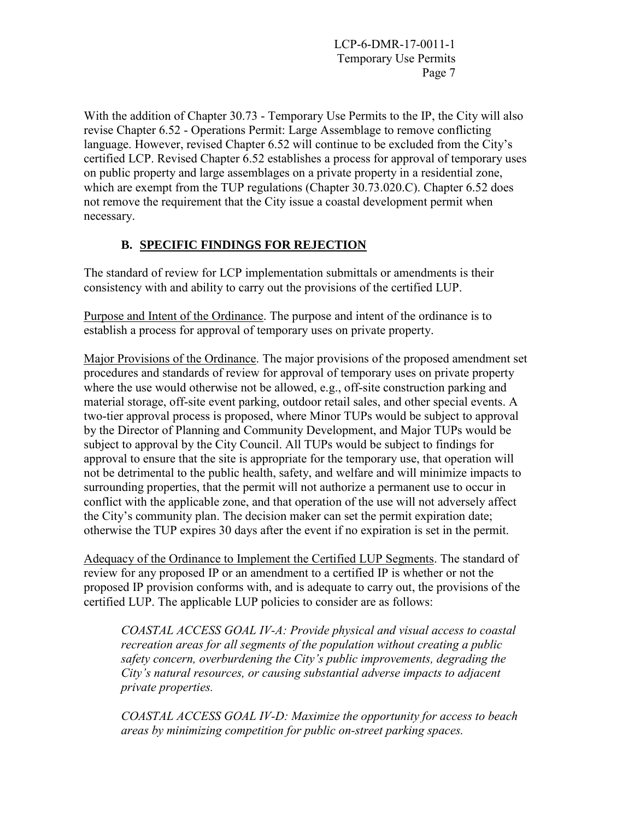With the addition of Chapter 30.73 - Temporary Use Permits to the IP, the City will also revise Chapter 6.52 - Operations Permit: Large Assemblage to remove conflicting language. However, revised Chapter 6.52 will continue to be excluded from the City's certified LCP. Revised Chapter 6.52 establishes a process for approval of temporary uses on public property and large assemblages on a private property in a residential zone, which are exempt from the TUP regulations (Chapter 30.73.020.C). Chapter 6.52 does not remove the requirement that the City issue a coastal development permit when necessary.

## **B. SPECIFIC FINDINGS FOR REJECTION**

The standard of review for LCP implementation submittals or amendments is their consistency with and ability to carry out the provisions of the certified LUP.

Purpose and Intent of the Ordinance. The purpose and intent of the ordinance is to establish a process for approval of temporary uses on private property.

Major Provisions of the Ordinance. The major provisions of the proposed amendment set procedures and standards of review for approval of temporary uses on private property where the use would otherwise not be allowed, e.g., off-site construction parking and material storage, off-site event parking, outdoor retail sales, and other special events. A two-tier approval process is proposed, where Minor TUPs would be subject to approval by the Director of Planning and Community Development, and Major TUPs would be subject to approval by the City Council. All TUPs would be subject to findings for approval to ensure that the site is appropriate for the temporary use, that operation will not be detrimental to the public health, safety, and welfare and will minimize impacts to surrounding properties, that the permit will not authorize a permanent use to occur in conflict with the applicable zone, and that operation of the use will not adversely affect the City's community plan. The decision maker can set the permit expiration date; otherwise the TUP expires 30 days after the event if no expiration is set in the permit.

Adequacy of the Ordinance to Implement the Certified LUP Segments. The standard of review for any proposed IP or an amendment to a certified IP is whether or not the proposed IP provision conforms with, and is adequate to carry out, the provisions of the certified LUP. The applicable LUP policies to consider are as follows:

*COASTAL ACCESS GOAL IV-A: Provide physical and visual access to coastal recreation areas for all segments of the population without creating a public safety concern, overburdening the City's public improvements, degrading the City's natural resources, or causing substantial adverse impacts to adjacent private properties.* 

*COASTAL ACCESS GOAL IV-D: Maximize the opportunity for access to beach areas by minimizing competition for public on-street parking spaces.*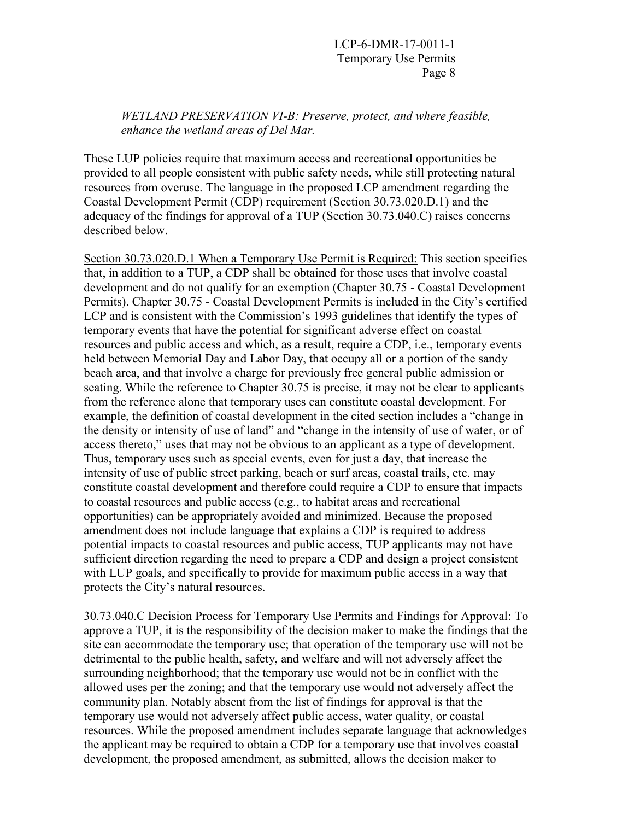*WETLAND PRESERVATION VI-B: Preserve, protect, and where feasible, enhance the wetland areas of Del Mar.* 

These LUP policies require that maximum access and recreational opportunities be provided to all people consistent with public safety needs, while still protecting natural resources from overuse. The language in the proposed LCP amendment regarding the Coastal Development Permit (CDP) requirement (Section 30.73.020.D.1) and the adequacy of the findings for approval of a TUP (Section 30.73.040.C) raises concerns described below.

Section 30.73.020.D.1 When a Temporary Use Permit is Required: This section specifies that, in addition to a TUP, a CDP shall be obtained for those uses that involve coastal development and do not qualify for an exemption (Chapter 30.75 - Coastal Development Permits). Chapter 30.75 - Coastal Development Permits is included in the City's certified LCP and is consistent with the Commission's 1993 guidelines that identify the types of temporary events that have the potential for significant adverse effect on coastal resources and public access and which, as a result, require a CDP, i.e., temporary events held between Memorial Day and Labor Day, that occupy all or a portion of the sandy beach area, and that involve a charge for previously free general public admission or seating. While the reference to Chapter 30.75 is precise, it may not be clear to applicants from the reference alone that temporary uses can constitute coastal development. For example, the definition of coastal development in the cited section includes a "change in the density or intensity of use of land" and "change in the intensity of use of water, or of access thereto," uses that may not be obvious to an applicant as a type of development. Thus, temporary uses such as special events, even for just a day, that increase the intensity of use of public street parking, beach or surf areas, coastal trails, etc. may constitute coastal development and therefore could require a CDP to ensure that impacts to coastal resources and public access (e.g., to habitat areas and recreational opportunities) can be appropriately avoided and minimized. Because the proposed amendment does not include language that explains a CDP is required to address potential impacts to coastal resources and public access, TUP applicants may not have sufficient direction regarding the need to prepare a CDP and design a project consistent with LUP goals, and specifically to provide for maximum public access in a way that protects the City's natural resources.

30.73.040.C Decision Process for Temporary Use Permits and Findings for Approval: To approve a TUP, it is the responsibility of the decision maker to make the findings that the site can accommodate the temporary use; that operation of the temporary use will not be detrimental to the public health, safety, and welfare and will not adversely affect the surrounding neighborhood; that the temporary use would not be in conflict with the allowed uses per the zoning; and that the temporary use would not adversely affect the community plan. Notably absent from the list of findings for approval is that the temporary use would not adversely affect public access, water quality, or coastal resources. While the proposed amendment includes separate language that acknowledges the applicant may be required to obtain a CDP for a temporary use that involves coastal development, the proposed amendment, as submitted, allows the decision maker to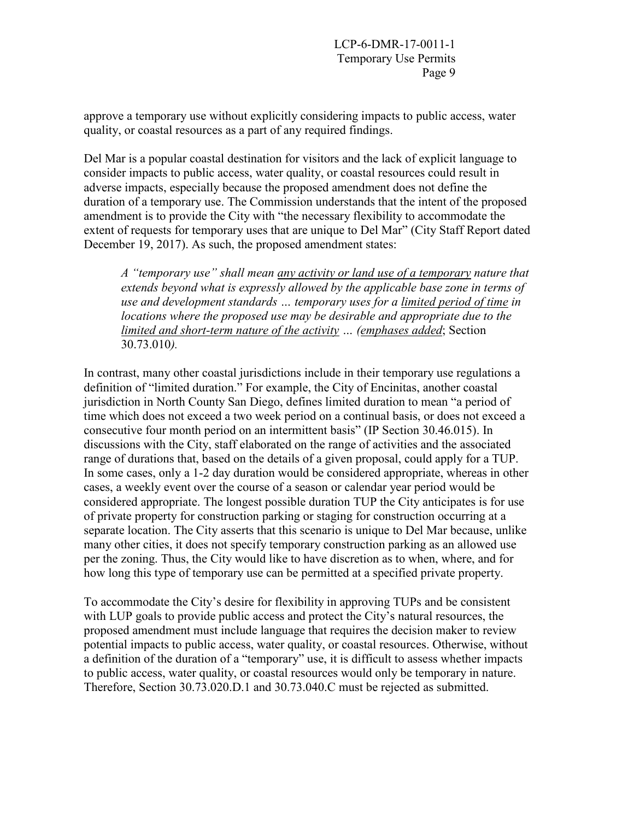approve a temporary use without explicitly considering impacts to public access, water quality, or coastal resources as a part of any required findings.

Del Mar is a popular coastal destination for visitors and the lack of explicit language to consider impacts to public access, water quality, or coastal resources could result in adverse impacts, especially because the proposed amendment does not define the duration of a temporary use. The Commission understands that the intent of the proposed amendment is to provide the City with "the necessary flexibility to accommodate the extent of requests for temporary uses that are unique to Del Mar" (City Staff Report dated December 19, 2017). As such, the proposed amendment states:

*A "temporary use" shall mean any activity or land use of a temporary nature that extends beyond what is expressly allowed by the applicable base zone in terms of use and development standards … temporary uses for a limited period of time in locations where the proposed use may be desirable and appropriate due to the limited and short-term nature of the activity … (emphases added*; Section 30.73.010*).* 

In contrast, many other coastal jurisdictions include in their temporary use regulations a definition of "limited duration." For example, the City of Encinitas, another coastal jurisdiction in North County San Diego, defines limited duration to mean "a period of time which does not exceed a two week period on a continual basis, or does not exceed a consecutive four month period on an intermittent basis" (IP Section 30.46.015). In discussions with the City, staff elaborated on the range of activities and the associated range of durations that, based on the details of a given proposal, could apply for a TUP. In some cases, only a 1-2 day duration would be considered appropriate, whereas in other cases, a weekly event over the course of a season or calendar year period would be considered appropriate. The longest possible duration TUP the City anticipates is for use of private property for construction parking or staging for construction occurring at a separate location. The City asserts that this scenario is unique to Del Mar because, unlike many other cities, it does not specify temporary construction parking as an allowed use per the zoning. Thus, the City would like to have discretion as to when, where, and for how long this type of temporary use can be permitted at a specified private property.

To accommodate the City's desire for flexibility in approving TUPs and be consistent with LUP goals to provide public access and protect the City's natural resources, the proposed amendment must include language that requires the decision maker to review potential impacts to public access, water quality, or coastal resources. Otherwise, without a definition of the duration of a "temporary" use, it is difficult to assess whether impacts to public access, water quality, or coastal resources would only be temporary in nature. Therefore, Section 30.73.020.D.1 and 30.73.040.C must be rejected as submitted.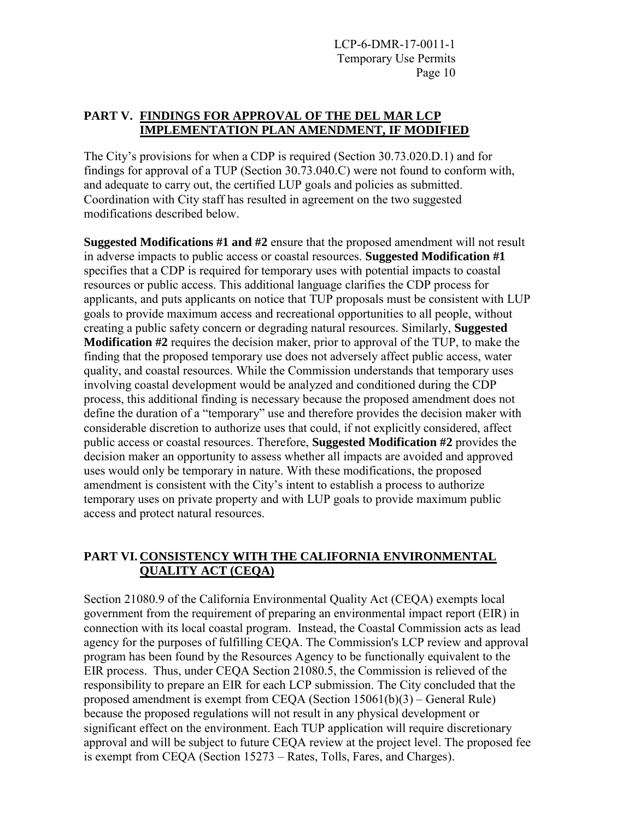#### **PART V. FINDINGS FOR APPROVAL OF THE DEL MAR LCP IMPLEMENTATION PLAN AMENDMENT, IF MODIFIED**

The City's provisions for when a CDP is required (Section 30.73.020.D.1) and for findings for approval of a TUP (Section 30.73.040.C) were not found to conform with, and adequate to carry out, the certified LUP goals and policies as submitted. Coordination with City staff has resulted in agreement on the two suggested modifications described below.

**Suggested Modifications #1 and #2** ensure that the proposed amendment will not result in adverse impacts to public access or coastal resources. **Suggested Modification #1**  specifies that a CDP is required for temporary uses with potential impacts to coastal resources or public access. This additional language clarifies the CDP process for applicants, and puts applicants on notice that TUP proposals must be consistent with LUP goals to provide maximum access and recreational opportunities to all people, without creating a public safety concern or degrading natural resources. Similarly, **Suggested Modification #2** requires the decision maker, prior to approval of the TUP, to make the finding that the proposed temporary use does not adversely affect public access, water quality, and coastal resources. While the Commission understands that temporary uses involving coastal development would be analyzed and conditioned during the CDP process, this additional finding is necessary because the proposed amendment does not define the duration of a "temporary" use and therefore provides the decision maker with considerable discretion to authorize uses that could, if not explicitly considered, affect public access or coastal resources. Therefore, **Suggested Modification #2** provides the decision maker an opportunity to assess whether all impacts are avoided and approved uses would only be temporary in nature. With these modifications, the proposed amendment is consistent with the City's intent to establish a process to authorize temporary uses on private property and with LUP goals to provide maximum public access and protect natural resources.

### **PART VI. CONSISTENCY WITH THE CALIFORNIA ENVIRONMENTAL QUALITY ACT (CEQA)**

Section 21080.9 of the California Environmental Quality Act (CEQA) exempts local government from the requirement of preparing an environmental impact report (EIR) in connection with its local coastal program. Instead, the Coastal Commission acts as lead agency for the purposes of fulfilling CEQA. The Commission's LCP review and approval program has been found by the Resources Agency to be functionally equivalent to the EIR process. Thus, under CEQA Section 21080.5, the Commission is relieved of the responsibility to prepare an EIR for each LCP submission. The City concluded that the proposed amendment is exempt from CEQA (Section 15061(b)(3) – General Rule) because the proposed regulations will not result in any physical development or significant effect on the environment. Each TUP application will require discretionary approval and will be subject to future CEQA review at the project level. The proposed fee is exempt from CEQA (Section 15273 – Rates, Tolls, Fares, and Charges).